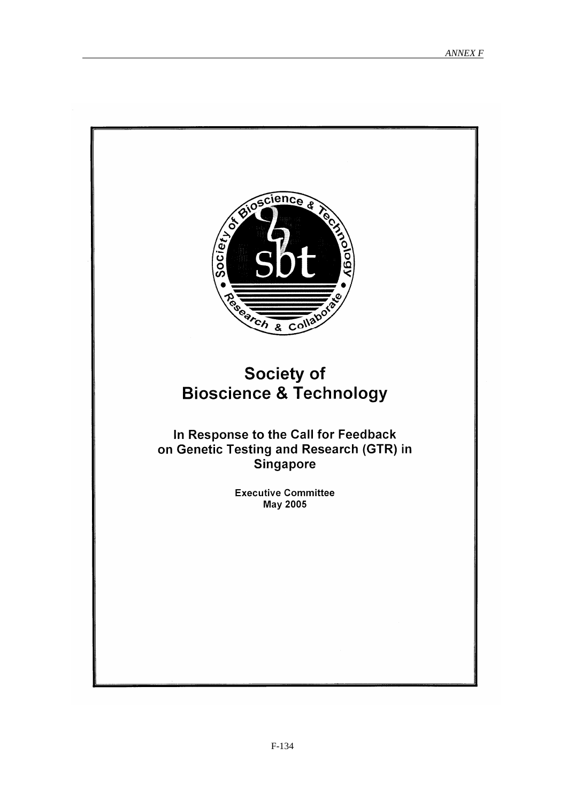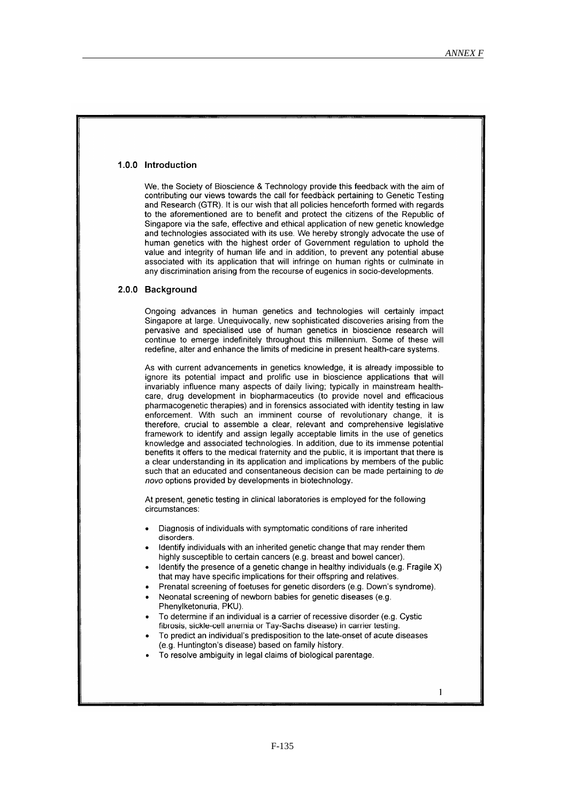#### 1.0.0 Introduction

We, the Society of Bioscience & Technology provide this feedback with the aim of contributing our views towards the call for feedback pertaining to Genetic Testing and Research (GTR). It is our wish that all policies henceforth formed with regards to the aforementioned are to benefit and protect the citizens of the Republic of Singapore via the safe, effective and ethical application of new genetic knowledge and technologies associated with its use. We hereby strongly advocate the use of human genetics with the highest order of Government regulation to uphold the value and integrity of human life and in addition, to prevent any potential abuse associated with its application that will infringe on human rights or culminate in any discrimination arising from the recourse of eugenics in socio-developments.

#### 2.0.0 Background

Ongoing advances in human genetics and technologies will certainly impact Singapore at large. Unequivocally, new sophisticated discoveries arising from the pervasive and specialised use of human genetics in bioscience research will continue to emerge indefinitely throughout this millennium. Some of these will redefine, alter and enhance the limits of medicine in present health-care systems.

As with current advancements in genetics knowledge, it is already impossible to ignore its potential impact and prolific use in bioscience applications that will invariably influence many aspects of daily living; typically in mainstream healthcare, drug development in biopharmaceutics (to provide novel and efficacious pharmacogenetic therapies) and in forensics associated with identity testing in law enforcement. With such an imminent course of revolutionary change, it is therefore, crucial to assemble a clear, relevant and comprehensive legislative framework to identify and assign legally acceptable limits in the use of genetics knowledge and associated technologies. In addition, due to its immense potential benefits it offers to the medical fraternity and the public, it is important that there is a clear understanding in its application and implications by members of the public such that an educated and consentaneous decision can be made pertaining to de novo options provided by developments in biotechnology.

At present, genetic testing in clinical laboratories is employed for the following circumstances:

- Diagnosis of individuals with symptomatic conditions of rare inherited disorders.
- Identify individuals with an inherited genetic change that may render them highly susceptible to certain cancers (e.g. breast and bowel cancer).
- Identify the presence of a genetic change in healthy individuals (e.g. Fragile X) that may have specific implications for their offspring and relatives.
- Prenatal screening of foetuses for genetic disorders (e.g. Down's syndrome).
- Neonatal screening of newborn babies for genetic diseases (e.g. Phenylketonuria, PKU).
- To determine if an individual is a carrier of recessive disorder (e.g. Cystic fibrosis, sickle-cell anemia or Tay-Sachs disease) in carrier testing.
- To predict an individual's predisposition to the late-onset of acute diseases (e.g. Huntington's disease) based on family history.
- To resolve ambiguity in legal claims of biological parentage.

 $\mathbf{1}$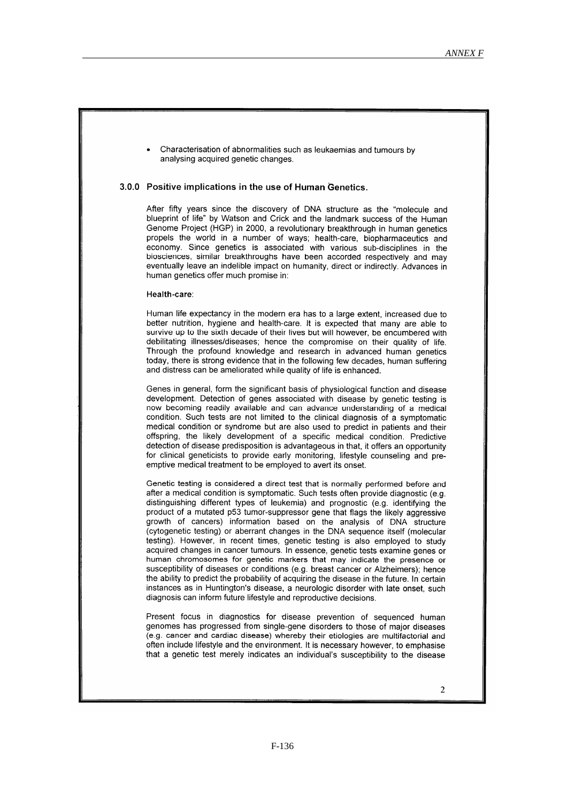Characterisation of abnormalities such as leukaemias and tumours by analysing acquired genetic changes.

### 3.0.0 Positive implications in the use of Human Genetics.

After fifty years since the discovery of DNA structure as the "molecule and blueprint of life" by Watson and Crick and the landmark success of the Human Genome Project (HGP) in 2000, a revolutionary breakthrough in human genetics propels the world in a number of ways; health-care, biopharmaceutics and economy. Since genetics is associated with various sub-disciplines in the biosciences, similar breakthroughs have been accorded respectively and may eventually leave an indelible impact on humanity, direct or indirectly. Advances in human genetics offer much promise in:

#### Health-care:

Human life expectancy in the modern era has to a large extent, increased due to better nutrition, hygiene and health-care. It is expected that many are able to survive up to the sixth decade of their lives but will however, be encumbered with debilitating illnesses/diseases; hence the compromise on their quality of life. Through the profound knowledge and research in advanced human genetics today, there is strong evidence that in the following few decades, human suffering and distress can be ameliorated while quality of life is enhanced.

Genes in general, form the significant basis of physiological function and disease development. Detection of genes associated with disease by genetic testing is now becoming readily available and can advance understanding of a medical condition. Such tests are not limited to the clinical diagnosis of a symptomatic medical condition or syndrome but are also used to predict in patients and their offspring, the likely development of a specific medical condition. Predictive detection of disease predisposition is advantageous in that, it offers an opportunity for clinical geneticists to provide early monitoring, lifestyle counseling and preemptive medical treatment to be employed to avert its onset.

Genetic testing is considered a direct test that is normally performed before and after a medical condition is symptomatic. Such tests often provide diagnostic (e.g. distinguishing different types of leukemia) and prognostic (e.g. identifying the product of a mutated p53 tumor-suppressor gene that flags the likely aggressive growth of cancers) information based on the analysis of DNA structure (cytogenetic testing) or aberrant changes in the DNA sequence itself (molecular testing). However, in recent times, genetic testing is also employed to study acquired changes in cancer tumours. In essence, genetic tests examine genes or human chromosomes for genetic markers that may indicate the presence or susceptibility of diseases or conditions (e.g. breast cancer or Alzheimers); hence the ability to predict the probability of acquiring the disease in the future. In certain instances as in Huntington's disease, a neurologic disorder with late onset, such diagnosis can inform future lifestyle and reproductive decisions.

Present focus in diagnostics for disease prevention of sequenced human genomes has progressed from single-gene disorders to those of major diseases (e.g. cancer and cardiac disease) whereby their etiologies are multifactorial and often include lifestyle and the environment. It is necessary however, to emphasise that a genetic test merely indicates an individual's susceptibility to the disease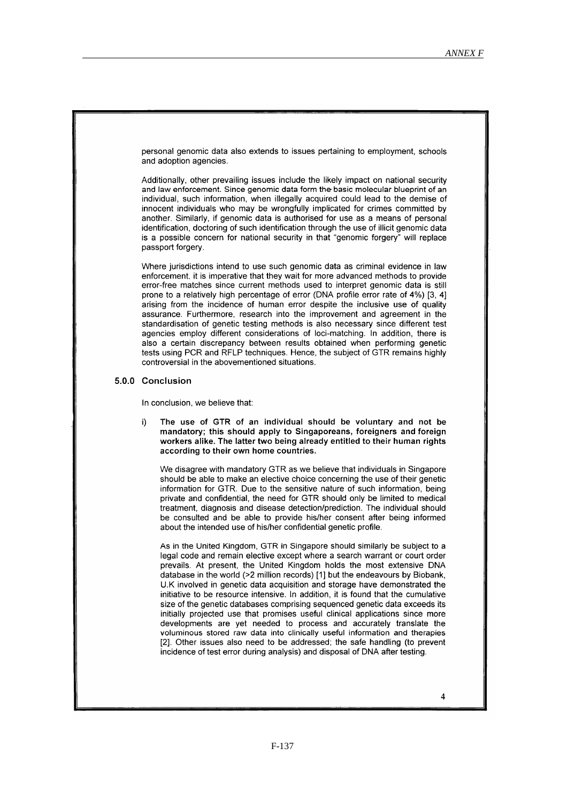personal genomic data also extends to issues pertaining to employment, schools and adoption agencies.

Additionally, other prevailing issues include the likely impact on national security and law enforcement. Since genomic data form the basic molecular blueprint of an individual, such information, when illegally acquired could lead to the demise of innocent individuals who may be wrongfully implicated for crimes committed by another. Similarly, if genomic data is authorised for use as a means of personal identification, doctoring of such identification through the use of illicit genomic data is a possible concern for national security in that "genomic forgery" will replace passport forgery.

Where jurisdictions intend to use such genomic data as criminal evidence in law enforcement, it is imperative that they wait for more advanced methods to provide error-free matches since current methods used to interpret genomic data is still prone to a relatively high percentage of error (DNA profile error rate of 4%) [3, 4] arising from the incidence of human error despite the inclusive use of quality assurance. Furthermore, research into the improvement and agreement in the standardisation of genetic testing methods is also necessary since different test agencies employ different considerations of loci-matching. In addition, there is also a certain discrepancy between results obtained when performing genetic tests using PCR and RFLP techniques. Hence, the subject of GTR remains highly controversial in the abovementioned situations

#### 5.0.0 Conclusion

In conclusion, we believe that:

The use of GTR of an individual should be voluntary and not be i) mandatory; this should apply to Singaporeans, foreigners and foreign workers alike. The latter two being already entitled to their human rights according to their own home countries.

We disagree with mandatory GTR as we believe that individuals in Singapore should be able to make an elective choice concerning the use of their genetic information for GTR. Due to the sensitive nature of such information, being private and confidential, the need for GTR should only be limited to medical treatment, diagnosis and disease detection/prediction. The individual should be consulted and be able to provide his/her consent after being informed about the intended use of his/her confidential genetic profile.

As in the United Kingdom, GTR in Singapore should similarly be subject to a legal code and remain elective except where a search warrant or court order prevails. At present, the United Kingdom holds the most extensive DNA database in the world (>2 million records) [1] but the endeavours by Biobank. U.K involved in genetic data acquisition and storage have demonstrated the initiative to be resource intensive. In addition, it is found that the cumulative size of the genetic databases comprising sequenced genetic data exceeds its initially projected use that promises useful clinical applications since more developments are vet needed to process and accurately translate the voluminous stored raw data into clinically useful information and therapies [2]. Other issues also need to be addressed; the safe handling (to prevent incidence of test error during analysis) and disposal of DNA after testing.

 $\overline{\mathbf{4}}$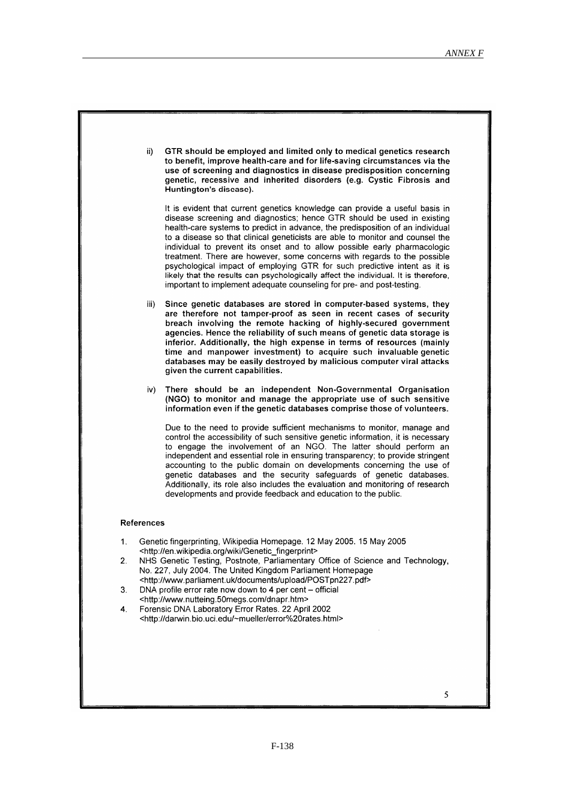|          | ii)                                                                                                                 | GTR should be employed and limited only to medical genetics research<br>to benefit, improve health-care and for life-saving circumstances via the<br>use of screening and diagnostics in disease predisposition concerning<br>genetic, recessive and inherited disorders (e.g. Cystic Fibrosis and<br>Huntington's disease).                                                                                                                                                                                                                                                                                                                                                                                                    |
|----------|---------------------------------------------------------------------------------------------------------------------|---------------------------------------------------------------------------------------------------------------------------------------------------------------------------------------------------------------------------------------------------------------------------------------------------------------------------------------------------------------------------------------------------------------------------------------------------------------------------------------------------------------------------------------------------------------------------------------------------------------------------------------------------------------------------------------------------------------------------------|
|          |                                                                                                                     | It is evident that current genetics knowledge can provide a useful basis in<br>disease screening and diagnostics; hence GTR should be used in existing<br>health-care systems to predict in advance, the predisposition of an individual<br>to a disease so that clinical geneticists are able to monitor and counsel the<br>individual to prevent its onset and to allow possible early pharmacologic<br>treatment. There are however, some concerns with regards to the possible<br>psychological impact of employing GTR for such predictive intent as it is<br>likely that the results can psychologically affect the individual. It is therefore,<br>important to implement adequate counseling for pre- and post-testing. |
|          | iii)                                                                                                                | Since genetic databases are stored in computer-based systems, they<br>are therefore not tamper-proof as seen in recent cases of security<br>breach involving the remote hacking of highly-secured government<br>agencies. Hence the reliability of such means of genetic data storage is<br>inferior. Additionally, the high expense in terms of resources (mainly<br>time and manpower investment) to acquire such invaluable genetic<br>databases may be easily destroyed by malicious computer viral attacks<br>given the current capabilities.                                                                                                                                                                              |
|          | iv).                                                                                                                | There should be an independent Non-Governmental Organisation<br>(NGO) to monitor and manage the appropriate use of such sensitive<br>information even if the genetic databases comprise those of volunteers.                                                                                                                                                                                                                                                                                                                                                                                                                                                                                                                    |
|          |                                                                                                                     | Due to the need to provide sufficient mechanisms to monitor, manage and<br>control the accessibility of such sensitive genetic information, it is necessary<br>to engage the involvement of an NGO. The latter should perform an<br>independent and essential role in ensuring transparency; to provide stringent<br>accounting to the public domain on developments concerning the use of<br>genetic databases and the security safeguards of genetic databases.<br>Additionally, its role also includes the evaluation and monitoring of research<br>developments and provide feedback and education to the public.                                                                                                           |
|          | <b>References</b>                                                                                                   |                                                                                                                                                                                                                                                                                                                                                                                                                                                                                                                                                                                                                                                                                                                                 |
| 1.<br>2. |                                                                                                                     | Genetic fingerprinting, Wikipedia Homepage. 12 May 2005. 15 May 2005<br><http: en.wikipedia.org="" genetic_fingerprint="" wiki=""><br/>NHS Genetic Testing, Postnote, Parliamentary Office of Science and Technology,<br/>No. 227, July 2004. The United Kingdom Parliament Homepage<br/><http: documents="" postpn227.pdf="" upload="" www.parliament.uk=""></http:></http:>                                                                                                                                                                                                                                                                                                                                                   |
| 3.       | DNA profile error rate now down to 4 per cent – official<br><http: dnapr.htm="" www.nutteing.50megs.com=""></http:> |                                                                                                                                                                                                                                                                                                                                                                                                                                                                                                                                                                                                                                                                                                                                 |
| 4.       |                                                                                                                     | Forensic DNA Laboratory Error Rates. 22 April 2002<br><http: darwin.bio.uci.edu="" error%20rates.html="" ~mueller=""></http:>                                                                                                                                                                                                                                                                                                                                                                                                                                                                                                                                                                                                   |
|          |                                                                                                                     | 5                                                                                                                                                                                                                                                                                                                                                                                                                                                                                                                                                                                                                                                                                                                               |
|          |                                                                                                                     |                                                                                                                                                                                                                                                                                                                                                                                                                                                                                                                                                                                                                                                                                                                                 |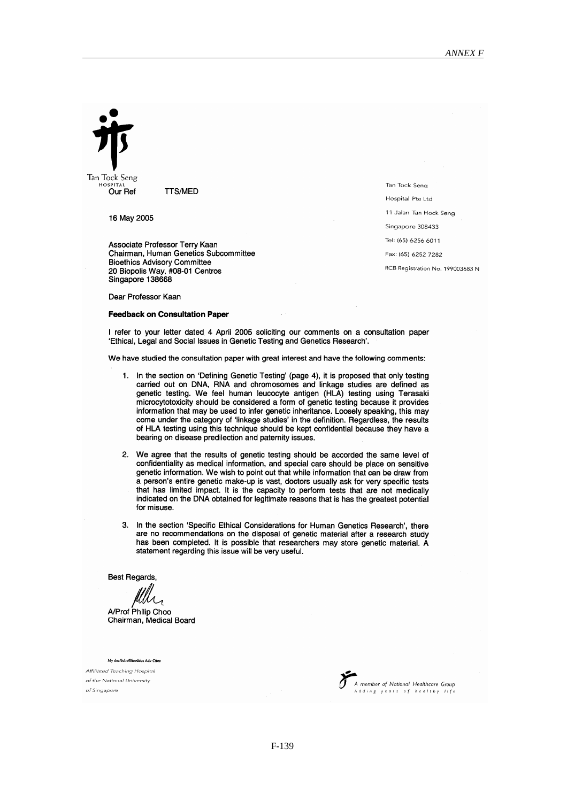Tan Tock Seng Our Ref

**TTS/MED** 

16 May 2005

Associate Professor Terry Kaan Chairman, Human Genetics Subcommittee **Bioethics Advisory Committee** 20 Biopolis Way, #08-01 Centros<br>Singapore 138668

Dear Professor Kaan

#### **Feedback on Consultation Paper**

I refer to your letter dated 4 April 2005 soliciting our comments on a consultation paper 'Ethical, Legal and Social Issues in Genetic Testing and Genetics Research'.

We have studied the consultation paper with great interest and have the following comments:

- 1. In the section on 'Defining Genetic Testing' (page 4), it is proposed that only testing carried out on DNA, RNA and chromosomes and linkage studies are defined as genetic testing. We feel human leucocyte antigen (HLA) testing using Terasaki microcytotoxicity should be considered a form of genetic testing because it provides information that may be used to infer genetic inheritance. Loosely speaking, this may come under the category of 'linkage studies' in the definition. Regardless, the results of HLA testing using this technique should be kept confidential because they have a bearing on disease predilection and paternity issues.
- 2. We agree that the results of genetic testing should be accorded the same level of confidentiality as medical information, and special care should be place on sensitive genetic information. We wish to point out that while information that can be draw from a person's entire genetic make-up is vast, doctors usually ask for very specific tests that has limited impact. It is the capacity to perform tests that are not medically indicated on the DNA obtained for legitimate reasons that is has the greatest potential for misuse.
- 3. In the section 'Specific Ethical Considerations for Human Genetics Research', there are no recommendations on the disposal of genetic material after a research study has been completed. It is possible that researchers may store genetic material. A statement regarding this issue will be very useful.

**Best Regards,** 

A/Prof Philip Choo Chairman, Medical Board

My doc/Julie/Bioethics Adv Ctter

Affiliated Teaching Hospital of the National University of Singapore



Tan Tock Seng Hospital Pte Ltd 11 Jalan Tan Hock Seng Singapore 308433 Tel: (65) 6256 6011 Fax: (65) 6252 7282 RCB Registration No. 199003683 N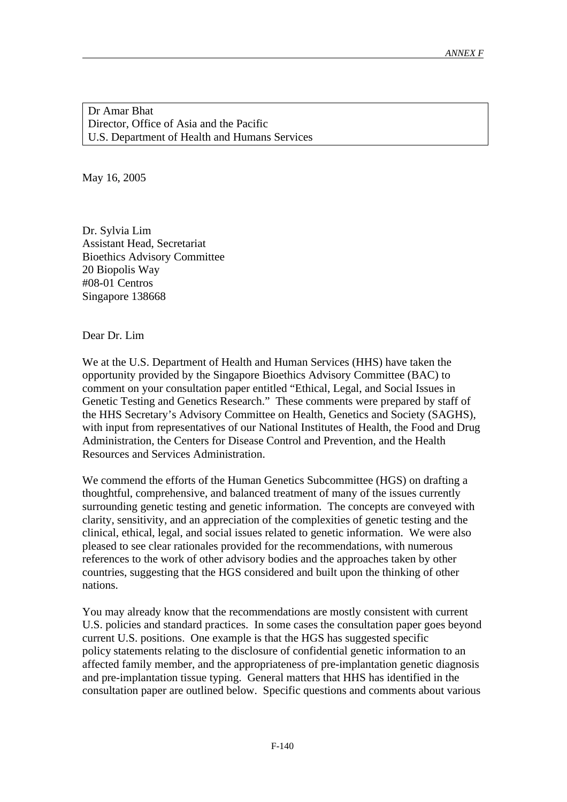Dr Amar Bhat Director, Office of Asia and the Pacific U.S. Department of Health and Humans Services

May 16, 2005

Dr. Sylvia Lim Assistant Head, Secretariat Bioethics Advisory Committee 20 Biopolis Way #08-01 Centros Singapore 138668

Dear Dr. Lim

We at the U.S. Department of Health and Human Services (HHS) have taken the opportunity provided by the Singapore Bioethics Advisory Committee (BAC) to comment on your consultation paper entitled "Ethical, Legal, and Social Issues in Genetic Testing and Genetics Research." These comments were prepared by staff of the HHS Secretary's Advisory Committee on Health, Genetics and Society (SAGHS), with input from representatives of our National Institutes of Health, the Food and Drug Administration, the Centers for Disease Control and Prevention, and the Health Resources and Services Administration.

We commend the efforts of the Human Genetics Subcommittee (HGS) on drafting a thoughtful, comprehensive, and balanced treatment of many of the issues currently surrounding genetic testing and genetic information. The concepts are conveyed with clarity, sensitivity, and an appreciation of the complexities of genetic testing and the clinical, ethical, legal, and social issues related to genetic information. We were also pleased to see clear rationales provided for the recommendations, with numerous references to the work of other advisory bodies and the approaches taken by other countries, suggesting that the HGS considered and built upon the thinking of other nations.

You may already know that the recommendations are mostly consistent with current U.S. policies and standard practices. In some cases the consultation paper goes beyond current U.S. positions. One example is that the HGS has suggested specific policy statements relating to the disclosure of confidential genetic information to an affected family member, and the appropriateness of pre-implantation genetic diagnosis and pre-implantation tissue typing. General matters that HHS has identified in the consultation paper are outlined below. Specific questions and comments about various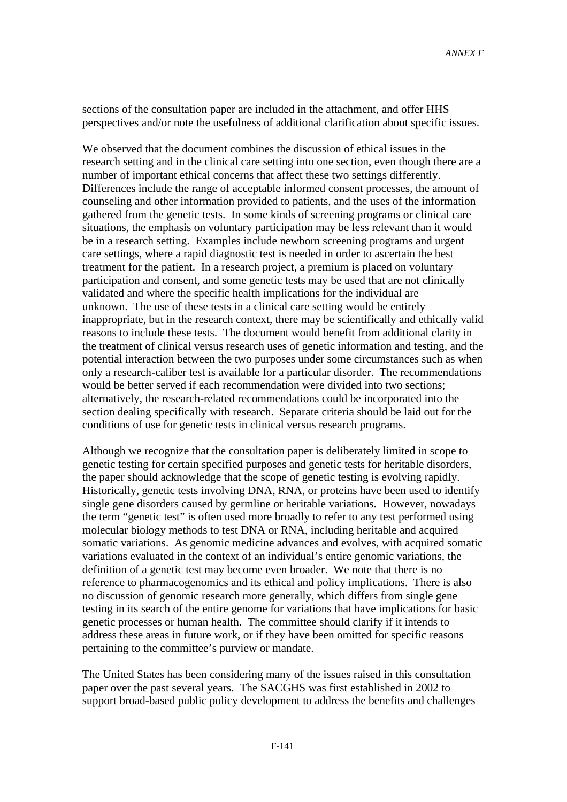sections of the consultation paper are included in the attachment, and offer HHS perspectives and/or note the usefulness of additional clarification about specific issues.

We observed that the document combines the discussion of ethical issues in the research setting and in the clinical care setting into one section, even though there are a number of important ethical concerns that affect these two settings differently. Differences include the range of acceptable informed consent processes, the amount of counseling and other information provided to patients, and the uses of the information gathered from the genetic tests. In some kinds of screening programs or clinical care situations, the emphasis on voluntary participation may be less relevant than it would be in a research setting. Examples include newborn screening programs and urgent care settings, where a rapid diagnostic test is needed in order to ascertain the best treatment for the patient. In a research project, a premium is placed on voluntary participation and consent, and some genetic tests may be used that are not clinically validated and where the specific health implications for the individual are unknown. The use of these tests in a clinical care setting would be entirely inappropriate, but in the research context, there may be scientifically and ethically valid reasons to include these tests. The document would benefit from additional clarity in the treatment of clinical versus research uses of genetic information and testing, and the potential interaction between the two purposes under some circumstances such as when only a research-caliber test is available for a particular disorder. The recommendations would be better served if each recommendation were divided into two sections; alternatively, the research-related recommendations could be incorporated into the section dealing specifically with research. Separate criteria should be laid out for the conditions of use for genetic tests in clinical versus research programs.

Although we recognize that the consultation paper is deliberately limited in scope to genetic testing for certain specified purposes and genetic tests for heritable disorders, the paper should acknowledge that the scope of genetic testing is evolving rapidly. Historically, genetic tests involving DNA, RNA, or proteins have been used to identify single gene disorders caused by germline or heritable variations. However, nowadays the term "genetic test" is often used more broadly to refer to any test performed using molecular biology methods to test DNA or RNA, including heritable and acquired somatic variations. As genomic medicine advances and evolves, with acquired somatic variations evaluated in the context of an individual's entire genomic variations, the definition of a genetic test may become even broader. We note that there is no reference to pharmacogenomics and its ethical and policy implications. There is also no discussion of genomic research more generally, which differs from single gene testing in its search of the entire genome for variations that have implications for basic genetic processes or human health. The committee should clarify if it intends to address these areas in future work, or if they have been omitted for specific reasons pertaining to the committee's purview or mandate.

The United States has been considering many of the issues raised in this consultation paper over the past several years. The SACGHS was first established in 2002 to support broad-based public policy development to address the benefits and challenges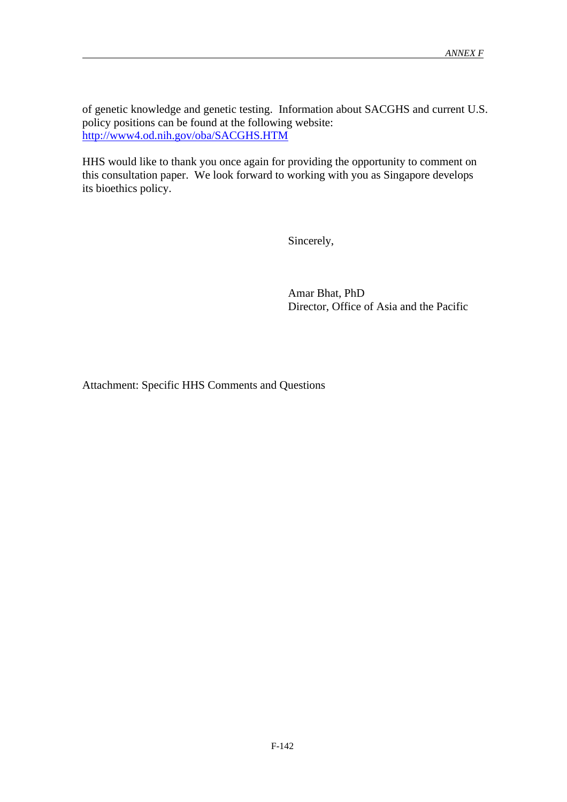of genetic knowledge and genetic testing. Information about SACGHS and current U.S. policy positions can be found at the following website: http://www4.od.nih.gov/oba/SACGHS.HTM

HHS would like to thank you once again for providing the opportunity to comment on this consultation paper. We look forward to working with you as Singapore develops its bioethics policy.

Sincerely,

Amar Bhat, PhD Director, Office of Asia and the Pacific

Attachment: Specific HHS Comments and Questions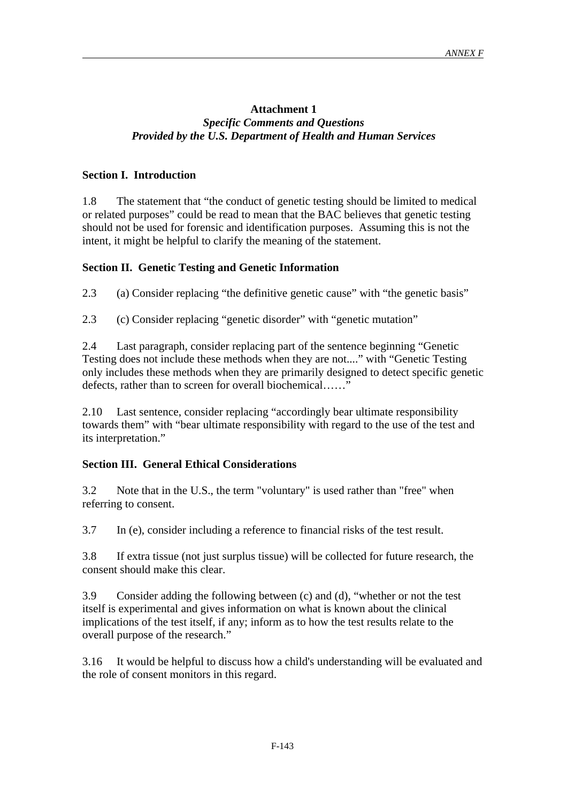# **Attachment 1** *Specific Comments and Questions Provided by the U.S. Department of Health and Human Services*

# **Section I. Introduction**

1.8 The statement that "the conduct of genetic testing should be limited to medical or related purposes" could be read to mean that the BAC believes that genetic testing should not be used for forensic and identification purposes. Assuming this is not the intent, it might be helpful to clarify the meaning of the statement.

## **Section II. Genetic Testing and Genetic Information**

2.3 (a) Consider replacing "the definitive genetic cause" with "the genetic basis"

2.3 (c) Consider replacing "genetic disorder" with "genetic mutation"

2.4 Last paragraph, consider replacing part of the sentence beginning "Genetic Testing does not include these methods when they are not...." with "Genetic Testing only includes these methods when they are primarily designed to detect specific genetic defects, rather than to screen for overall biochemical……"

2.10 Last sentence, consider replacing "accordingly bear ultimate responsibility towards them" with "bear ultimate responsibility with regard to the use of the test and its interpretation."

# **Section III. General Ethical Considerations**

3.2 Note that in the U.S., the term "voluntary" is used rather than "free" when referring to consent.

3.7 In (e), consider including a reference to financial risks of the test result.

3.8 If extra tissue (not just surplus tissue) will be collected for future research, the consent should make this clear.

3.9 Consider adding the following between (c) and (d), "whether or not the test itself is experimental and gives information on what is known about the clinical implications of the test itself, if any; inform as to how the test results relate to the overall purpose of the research."

3.16 It would be helpful to discuss how a child's understanding will be evaluated and the role of consent monitors in this regard.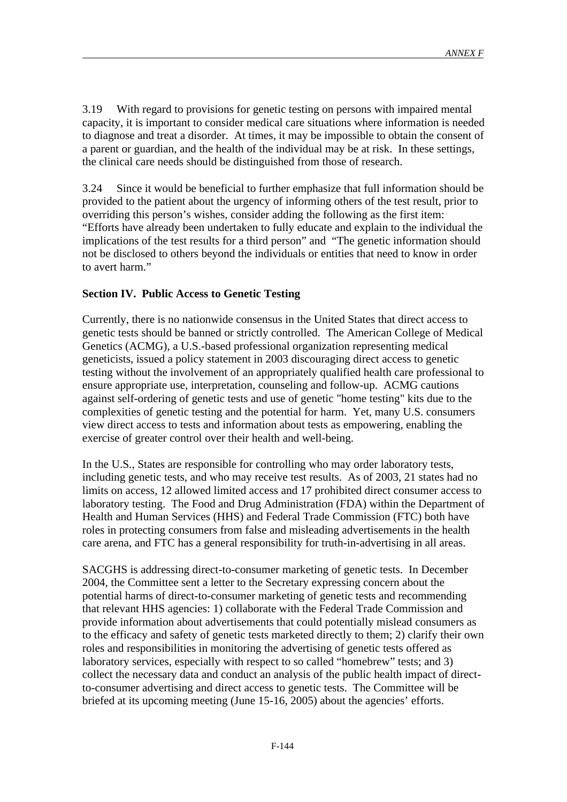3.19 With regard to provisions for genetic testing on persons with impaired mental capacity, it is important to consider medical care situations where information is needed to diagnose and treat a disorder. At times, it may be impossible to obtain the consent of a parent or guardian, and the health of the individual may be at risk. In these settings, the clinical care needs should be distinguished from those of research.

3.24 Since it would be beneficial to further emphasize that full information should be provided to the patient about the urgency of informing others of the test result, prior to overriding this person's wishes, consider adding the following as the first item: "Efforts have already been undertaken to fully educate and explain to the individual the implications of the test results for a third person" and "The genetic information should not be disclosed to others beyond the individuals or entities that need to know in order to avert harm."

# **Section IV. Public Access to Genetic Testing**

Currently, there is no nationwide consensus in the United States that direct access to genetic tests should be banned or strictly controlled. The American College of Medical Genetics (ACMG), a U.S.-based professional organization representing medical geneticists, issued a policy statement in 2003 discouraging direct access to genetic testing without the involvement of an appropriately qualified health care professional to ensure appropriate use, interpretation, counseling and follow-up. ACMG cautions against self-ordering of genetic tests and use of genetic "home testing" kits due to the complexities of genetic testing and the potential for harm. Yet, many U.S. consumers view direct access to tests and information about tests as empowering, enabling the exercise of greater control over their health and well-being.

In the U.S., States are responsible for controlling who may order laboratory tests, including genetic tests, and who may receive test results. As of 2003, 21 states had no limits on access, 12 allowed limited access and 17 prohibited direct consumer access to laboratory testing. The Food and Drug Administration (FDA) within the Department of Health and Human Services (HHS) and Federal Trade Commission (FTC) both have roles in protecting consumers from false and misleading advertisements in the health care arena, and FTC has a general responsibility for truth-in-advertising in all areas.

SACGHS is addressing direct-to-consumer marketing of genetic tests. In December 2004, the Committee sent a letter to the Secretary expressing concern about the potential harms of direct-to-consumer marketing of genetic tests and recommending that relevant HHS agencies: 1) collaborate with the Federal Trade Commission and provide information about advertisements that could potentially mislead consumers as to the efficacy and safety of genetic tests marketed directly to them; 2) clarify their own roles and responsibilities in monitoring the advertising of genetic tests offered as laboratory services, especially with respect to so called "homebrew" tests; and 3) collect the necessary data and conduct an analysis of the public health impact of directto-consumer advertising and direct access to genetic tests. The Committee will be briefed at its upcoming meeting (June 15-16, 2005) about the agencies' efforts.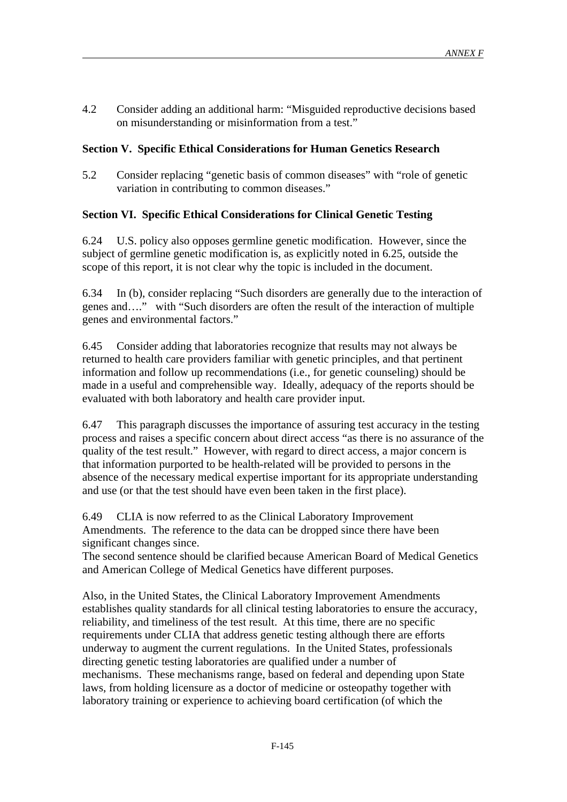4.2 Consider adding an additional harm: "Misguided reproductive decisions based on misunderstanding or misinformation from a test."

# **Section V. Specific Ethical Considerations for Human Genetics Research**

5.2 Consider replacing "genetic basis of common diseases" with "role of genetic variation in contributing to common diseases."

## **Section VI. Specific Ethical Considerations for Clinical Genetic Testing**

6.24 U.S. policy also opposes germline genetic modification. However, since the subject of germline genetic modification is, as explicitly noted in 6.25, outside the scope of this report, it is not clear why the topic is included in the document.

6.34 In (b), consider replacing "Such disorders are generally due to the interaction of genes and…." with "Such disorders are often the result of the interaction of multiple genes and environmental factors."

6.45 Consider adding that laboratories recognize that results may not always be returned to health care providers familiar with genetic principles, and that pertinent information and follow up recommendations (i.e., for genetic counseling) should be made in a useful and comprehensible way. Ideally, adequacy of the reports should be evaluated with both laboratory and health care provider input.

6.47 This paragraph discusses the importance of assuring test accuracy in the testing process and raises a specific concern about direct access "as there is no assurance of the quality of the test result." However, with regard to direct access, a major concern is that information purported to be health-related will be provided to persons in the absence of the necessary medical expertise important for its appropriate understanding and use (or that the test should have even been taken in the first place).

6.49 CLIA is now referred to as the Clinical Laboratory Improvement Amendments. The reference to the data can be dropped since there have been significant changes since.

The second sentence should be clarified because American Board of Medical Genetics and American College of Medical Genetics have different purposes.

Also, in the United States, the Clinical Laboratory Improvement Amendments establishes quality standards for all clinical testing laboratories to ensure the accuracy, reliability, and timeliness of the test result. At this time, there are no specific requirements under CLIA that address genetic testing although there are efforts underway to augment the current regulations. In the United States, professionals directing genetic testing laboratories are qualified under a number of mechanisms. These mechanisms range, based on federal and depending upon State laws, from holding licensure as a doctor of medicine or osteopathy together with laboratory training or experience to achieving board certification (of which the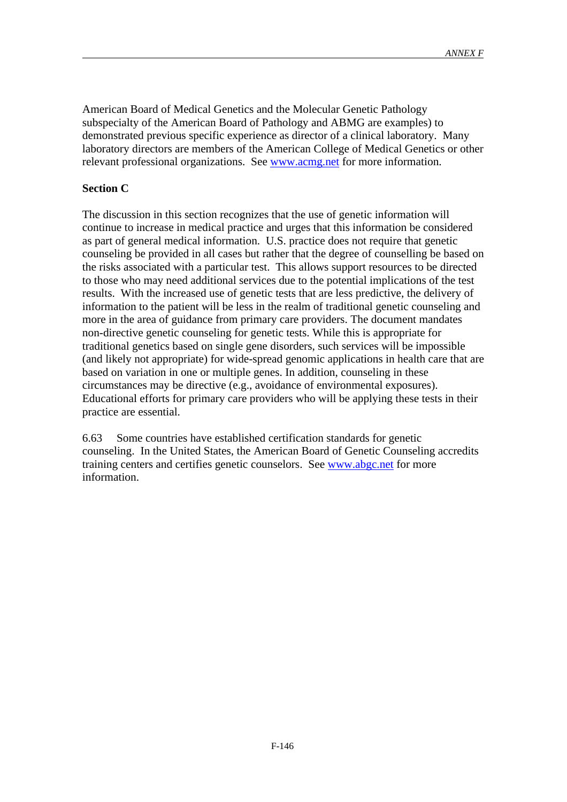American Board of Medical Genetics and the Molecular Genetic Pathology subspecialty of the American Board of Pathology and ABMG are examples) to demonstrated previous specific experience as director of a clinical laboratory. Many laboratory directors are members of the American College of Medical Genetics or other relevant professional organizations. See www.acmg.net for more information.

## **Section C**

The discussion in this section recognizes that the use of genetic information will continue to increase in medical practice and urges that this information be considered as part of general medical information. U.S. practice does not require that genetic counseling be provided in all cases but rather that the degree of counselling be based on the risks associated with a particular test. This allows support resources to be directed to those who may need additional services due to the potential implications of the test results. With the increased use of genetic tests that are less predictive, the delivery of information to the patient will be less in the realm of traditional genetic counseling and more in the area of guidance from primary care providers. The document mandates non-directive genetic counseling for genetic tests. While this is appropriate for traditional genetics based on single gene disorders, such services will be impossible (and likely not appropriate) for wide-spread genomic applications in health care that are based on variation in one or multiple genes. In addition, counseling in these circumstances may be directive (e.g., avoidance of environmental exposures). Educational efforts for primary care providers who will be applying these tests in their practice are essential.

6.63 Some countries have established certification standards for genetic counseling. In the United States, the American Board of Genetic Counseling accredits training centers and certifies genetic counselors. See www.abgc.net for more information.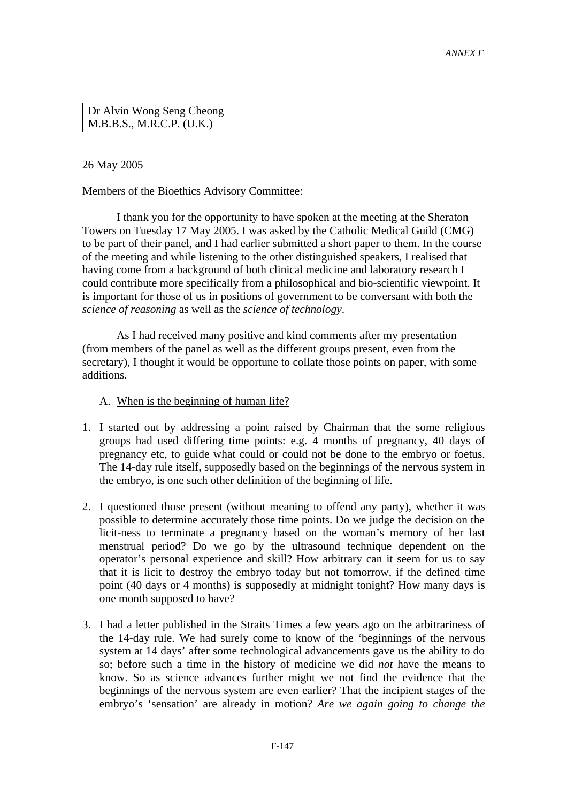Dr Alvin Wong Seng Cheong M.B.B.S., M.R.C.P. (U.K.)

26 May 2005

Members of the Bioethics Advisory Committee:

I thank you for the opportunity to have spoken at the meeting at the Sheraton Towers on Tuesday 17 May 2005. I was asked by the Catholic Medical Guild (CMG) to be part of their panel, and I had earlier submitted a short paper to them. In the course of the meeting and while listening to the other distinguished speakers, I realised that having come from a background of both clinical medicine and laboratory research I could contribute more specifically from a philosophical and bio-scientific viewpoint. It is important for those of us in positions of government to be conversant with both the *science of reasoning* as well as the *science of technology*.

As I had received many positive and kind comments after my presentation (from members of the panel as well as the different groups present, even from the secretary), I thought it would be opportune to collate those points on paper, with some additions.

## A. When is the beginning of human life?

- 1. I started out by addressing a point raised by Chairman that the some religious groups had used differing time points: e.g. 4 months of pregnancy, 40 days of pregnancy etc, to guide what could or could not be done to the embryo or foetus. The 14-day rule itself, supposedly based on the beginnings of the nervous system in the embryo, is one such other definition of the beginning of life.
- 2. I questioned those present (without meaning to offend any party), whether it was possible to determine accurately those time points. Do we judge the decision on the licit-ness to terminate a pregnancy based on the woman's memory of her last menstrual period? Do we go by the ultrasound technique dependent on the operator's personal experience and skill? How arbitrary can it seem for us to say that it is licit to destroy the embryo today but not tomorrow, if the defined time point (40 days or 4 months) is supposedly at midnight tonight? How many days is one month supposed to have?
- 3. I had a letter published in the Straits Times a few years ago on the arbitrariness of the 14-day rule. We had surely come to know of the 'beginnings of the nervous system at 14 days' after some technological advancements gave us the ability to do so; before such a time in the history of medicine we did *not* have the means to know. So as science advances further might we not find the evidence that the beginnings of the nervous system are even earlier? That the incipient stages of the embryo's 'sensation' are already in motion? *Are we again going to change the*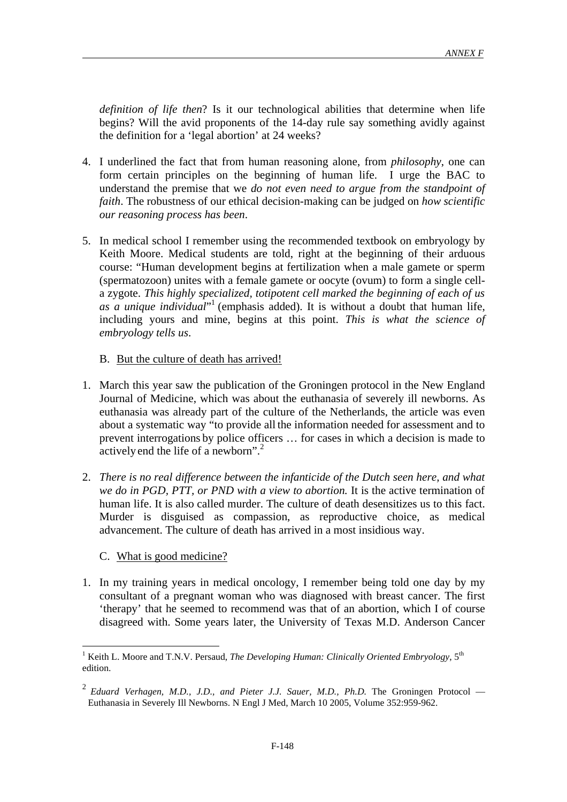*definition of life then*? Is it our technological abilities that determine when life begins? Will the avid proponents of the 14-day rule say something avidly against the definition for a 'legal abortion' at 24 weeks?

- 4. I underlined the fact that from human reasoning alone, from *philosophy*, one can form certain principles on the beginning of human life. I urge the BAC to understand the premise that we *do not even need to argue from the standpoint of faith*. The robustness of our ethical decision-making can be judged on *how scientific our reasoning process has been*.
- 5. In medical school I remember using the recommended textbook on embryology by Keith Moore. Medical students are told, right at the beginning of their arduous course: "Human development begins at fertilization when a male gamete or sperm (spermatozoon) unites with a female gamete or oocyte (ovum) to form a single cella zygote. *This highly specialized, totipotent cell marked the beginning of each of us*  as a unique individual<sup>"1</sup> (emphasis added). It is without a doubt that human life, including yours and mine, begins at this point. *This is what the science of embryology tells us*.
	- B. But the culture of death has arrived!
- 1. March this year saw the publication of the Groningen protocol in the New England Journal of Medicine, which was about the euthanasia of severely ill newborns. As euthanasia was already part of the culture of the Netherlands, the article was even about a systematic way "to provide all the information needed for assessment and to prevent interrogations by police officers … for cases in which a decision is made to actively end the life of a newborn".<sup>2</sup>
- 2. *There is no real difference between the infanticide of the Dutch seen here, and what we do in PGD, PTT, or PND with a view to abortion.* It is the active termination of human life. It is also called murder. The culture of death desensitizes us to this fact. Murder is disguised as compassion, as reproductive choice, as medical advancement. The culture of death has arrived in a most insidious way.
	- C. What is good medicine?

 $\overline{a}$ 

1. In my training years in medical oncology, I remember being told one day by my consultant of a pregnant woman who was diagnosed with breast cancer. The first 'therapy' that he seemed to recommend was that of an abortion, which I of course disagreed with. Some years later, the University of Texas M.D. Anderson Cancer

<sup>&</sup>lt;sup>1</sup> Keith L. Moore and T.N.V. Persaud, *The Developing Human: Clinically Oriented Embryology*,  $5<sup>th</sup>$ edition.

<sup>2</sup> *Eduard Verhagen, M.D., J.D., and Pieter J.J. Sauer, M.D., Ph.D.* The Groningen Protocol — Euthanasia in Severely Ill Newborns. N Engl J Med, March 10 2005, Volume 352:959-962.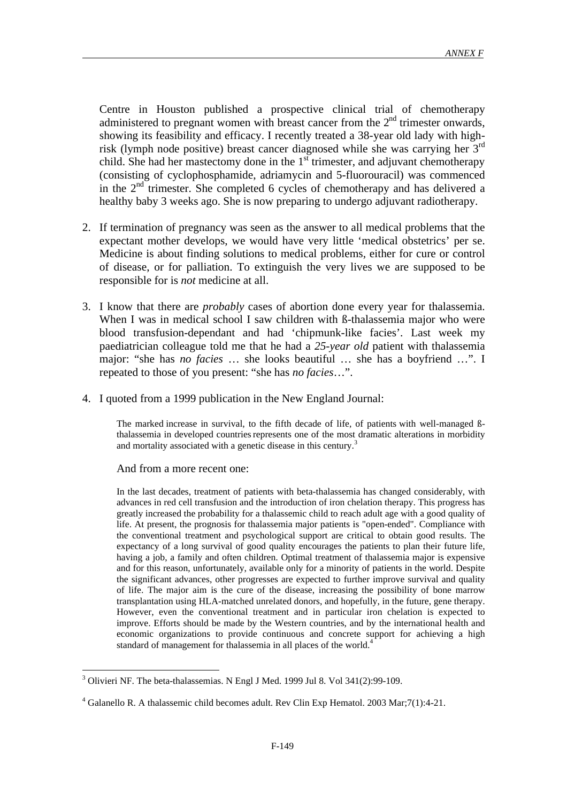Centre in Houston published a prospective clinical trial of chemotherapy administered to pregnant women with breast cancer from the  $2<sup>nd</sup>$  trimester onwards, showing its feasibility and efficacy. I recently treated a 38-year old lady with highrisk (lymph node positive) breast cancer diagnosed while she was carrying her  $3<sup>rd</sup>$ child. She had her mastectomy done in the  $1<sup>st</sup>$  trimester, and adjuvant chemotherapy (consisting of cyclophosphamide, adriamycin and 5-fluorouracil) was commenced in the  $2<sup>nd</sup>$  trimester. She completed 6 cycles of chemotherapy and has delivered a healthy baby 3 weeks ago. She is now preparing to undergo adjuvant radiotherapy.

- 2. If termination of pregnancy was seen as the answer to all medical problems that the expectant mother develops, we would have very little 'medical obstetrics' per se. Medicine is about finding solutions to medical problems, either for cure or control of disease, or for palliation. To extinguish the very lives we are supposed to be responsible for is *not* medicine at all.
- 3. I know that there are *probably* cases of abortion done every year for thalassemia. When I was in medical school I saw children with *B*-thalassemia major who were blood transfusion-dependant and had 'chipmunk-like facies'. Last week my paediatrician colleague told me that he had a *25-year old* patient with thalassemia major: "she has *no facies* … she looks beautiful … she has a boyfriend …". I repeated to those of you present: "she has *no facies*…".
- 4. I quoted from a 1999 publication in the New England Journal:

The marked increase in survival, to the fifth decade of life, of patients with well-managed ßthalassemia in developed countriesrepresents one of the most dramatic alterations in morbidity and mortality associated with a genetic disease in this century.<sup>3</sup>

### And from a more recent one:

 $\overline{a}$ 

In the last decades, treatment of patients with beta-thalassemia has changed considerably, with advances in red cell transfusion and the introduction of iron chelation therapy. This progress has greatly increased the probability for a thalassemic child to reach adult age with a good quality of life. At present, the prognosis for thalassemia major patients is "open-ended". Compliance with the conventional treatment and psychological support are critical to obtain good results. The expectancy of a long survival of good quality encourages the patients to plan their future life, having a job, a family and often children. Optimal treatment of thalassemia major is expensive and for this reason, unfortunately, available only for a minority of patients in the world. Despite the significant advances, other progresses are expected to further improve survival and quality of life. The major aim is the cure of the disease, increasing the possibility of bone marrow transplantation using HLA-matched unrelated donors, and hopefully, in the future, gene therapy. However, even the conventional treatment and in particular iron chelation is expected to improve. Efforts should be made by the Western countries, and by the international health and economic organizations to provide continuous and concrete support for achieving a high standard of management for thalassemia in all places of the world.<sup>4</sup>

 $3$  Olivieri NF. The beta-thalassemias. N Engl J Med. 1999 Jul 8. Vol 341(2):99-109.

<sup>&</sup>lt;sup>4</sup> Galanello R. A thalassemic child becomes adult. Rev Clin Exp Hematol. 2003 Mar;7(1):4-21.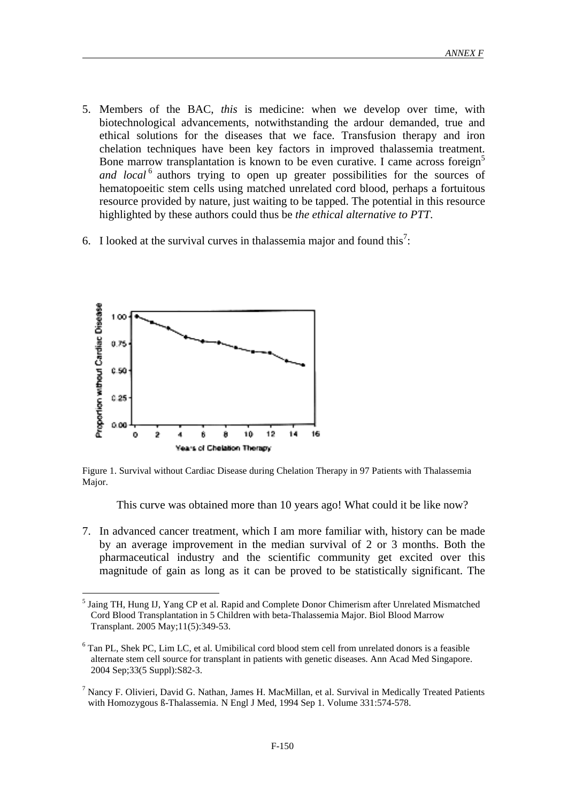- 5. Members of the BAC, *this* is medicine: when we develop over time, with biotechnological advancements, notwithstanding the ardour demanded, true and ethical solutions for the diseases that we face. Transfusion therapy and iron chelation techniques have been key factors in improved thalassemia treatment. Bone marrow transplantation is known to be even curative. I came across foreign<sup>5</sup> and local<sup>6</sup> authors trying to open up greater possibilities for the sources of hematopoeitic stem cells using matched unrelated cord blood, perhaps a fortuitous resource provided by nature, just waiting to be tapped. The potential in this resource highlighted by these authors could thus be *the ethical alternative to PTT*.
- 6. I looked at the survival curves in thalassemia major and found this<sup>7</sup>:



 $\overline{a}$ 

Figure 1. Survival without Cardiac Disease during Chelation Therapy in 97 Patients with Thalassemia Major.

This curve was obtained more than 10 years ago! What could it be like now?

7. In advanced cancer treatment, which I am more familiar with, history can be made by an average improvement in the median survival of 2 or 3 months. Both the pharmaceutical industry and the scientific community get excited over this magnitude of gain as long as it can be proved to be statistically significant. The

<sup>&</sup>lt;sup>5</sup> Jaing TH, Hung IJ, Yang CP et al. Rapid and Complete Donor Chimerism after Unrelated Mismatched Cord Blood Transplantation in 5 Children with beta-Thalassemia Major. Biol Blood Marrow Transplant. 2005 May;11(5):349-53.

<sup>&</sup>lt;sup>6</sup> Tan PL, Shek PC, Lim LC, et al. Umibilical cord blood stem cell from unrelated donors is a feasible alternate stem cell source for transplant in patients with genetic diseases. Ann Acad Med Singapore. 2004 Sep;33(5 Suppl):S82-3.

<sup>7</sup> Nancy F. Olivieri, David G. Nathan, James H. MacMillan, et al. Survival in Medically Treated Patients with Homozygous ß-Thalassemia. N Engl J Med, 1994 Sep 1. Volume 331:574-578.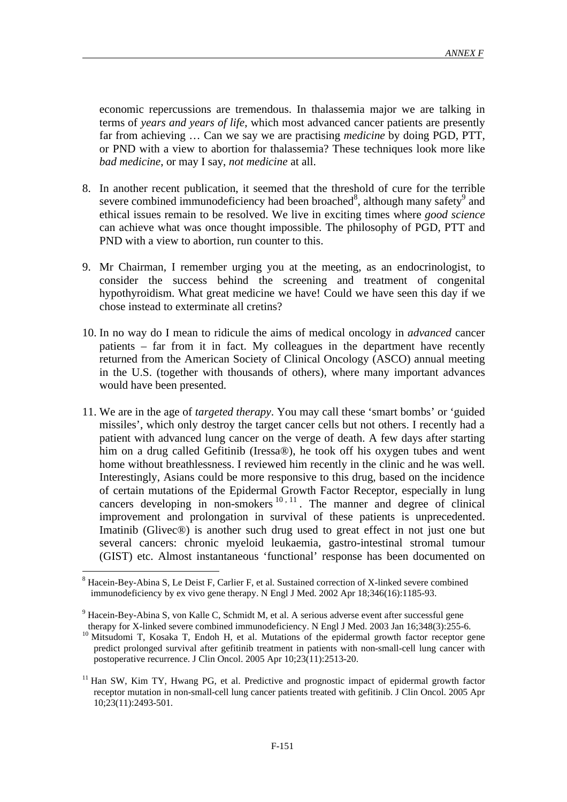economic repercussions are tremendous. In thalassemia major we are talking in terms of *years and years of life*, which most advanced cancer patients are presently far from achieving … Can we say we are practising *medicine* by doing PGD, PTT, or PND with a view to abortion for thalassemia? These techniques look more like *bad medicine*, or may I say, *not medicine* at all.

- 8. In another recent publication, it seemed that the threshold of cure for the terrible severe combined immunodeficiency had been broached<sup>8</sup>, although many safety<sup>9</sup> and ethical issues remain to be resolved. We live in exciting times where *good science* can achieve what was once thought impossible. The philosophy of PGD, PTT and PND with a view to abortion, run counter to this.
- 9. Mr Chairman, I remember urging you at the meeting, as an endocrinologist, to consider the success behind the screening and treatment of congenital hypothyroidism. What great medicine we have! Could we have seen this day if we chose instead to exterminate all cretins?
- 10. In no way do I mean to ridicule the aims of medical oncology in *advanced* cancer patients – far from it in fact. My colleagues in the department have recently returned from the American Society of Clinical Oncology (ASCO) annual meeting in the U.S. (together with thousands of others), where many important advances would have been presented.
- 11. We are in the age of *targeted therapy*. You may call these 'smart bombs' or 'guided missiles', which only destroy the target cancer cells but not others. I recently had a patient with advanced lung cancer on the verge of death. A few days after starting him on a drug called Gefitinib (Iressa®), he took off his oxygen tubes and went home without breathlessness. I reviewed him recently in the clinic and he was well. Interestingly, Asians could be more responsive to this drug, based on the incidence of certain mutations of the Epidermal Growth Factor Receptor, especially in lung cancers developing in non-smokers  $^{10, 11}$ . The manner and degree of clinical improvement and prolongation in survival of these patients is unprecedented. Imatinib (Glivec®) is another such drug used to great effect in not just one but several cancers: chronic myeloid leukaemia, gastro-intestinal stromal tumour (GIST) etc. Almost instantaneous 'functional' response has been documented on

<sup>&</sup>lt;sup>8</sup> Hacein-Bey-Abina S, Le Deist F, Carlier F, et al. Sustained correction of X-linked severe combined immunodeficiency by ex vivo gene therapy. N Engl J Med. 2002 Apr 18;346(16):1185-93.

<sup>&</sup>lt;sup>9</sup> Hacein-Bey-Abina S, von Kalle C, Schmidt M, et al. A serious adverse event after successful gene therapy for X-linked severe combined immunodeficiency. N Engl J Med. 2003 Jan 16;348(3):255-6.

<sup>&</sup>lt;sup>10</sup> Mitsudomi T, Kosaka T, Endoh H, et al. Mutations of the epidermal growth factor receptor gene predict prolonged survival after gefitinib treatment in patients with non-small-cell lung cancer with postoperative recurrence. J Clin Oncol. 2005 Apr 10;23(11):2513-20.

<sup>&</sup>lt;sup>11</sup> Han SW, Kim TY, Hwang PG, et al. Predictive and prognostic impact of epidermal growth factor receptor mutation in non-small-cell lung cancer patients treated with gefitinib. J Clin Oncol. 2005 Apr 10;23(11):2493-501.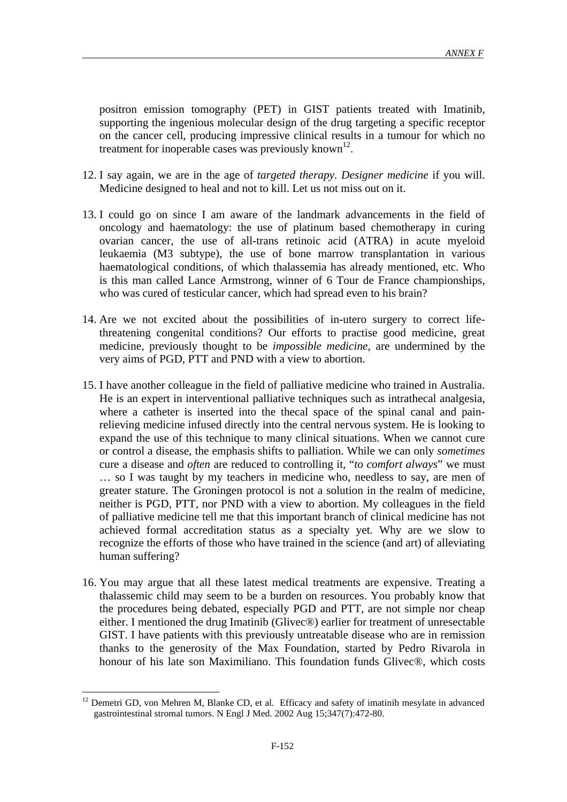positron emission tomography (PET) in GIST patients treated with Imatinib, supporting the ingenious molecular design of the drug targeting a specific receptor on the cancer cell, producing impressive clinical results in a tumour for which no treatment for inoperable cases was previously known<sup>12</sup>.

- 12. I say again, we are in the age of *targeted therapy. Designer medicine* if you will. Medicine designed to heal and not to kill. Let us not miss out on it.
- 13. I could go on since I am aware of the landmark advancements in the field of oncology and haematology: the use of platinum based chemotherapy in curing ovarian cancer, the use of all-trans retinoic acid (ATRA) in acute myeloid leukaemia (M3 subtype), the use of bone marrow transplantation in various haematological conditions, of which thalassemia has already mentioned, etc. Who is this man called Lance Armstrong, winner of 6 Tour de France championships, who was cured of testicular cancer, which had spread even to his brain?
- 14. Are we not excited about the possibilities of in-utero surgery to correct lifethreatening congenital conditions? Our efforts to practise good medicine, great medicine, previously thought to be *impossible medicine*, are undermined by the very aims of PGD, PTT and PND with a view to abortion.
- 15. I have another colleague in the field of palliative medicine who trained in Australia. He is an expert in interventional palliative techniques such as intrathecal analgesia, where a catheter is inserted into the thecal space of the spinal canal and painrelieving medicine infused directly into the central nervous system. He is looking to expand the use of this technique to many clinical situations. When we cannot cure or control a disease, the emphasis shifts to palliation. While we can only *sometimes* cure a disease and *often* are reduced to controlling it, "*to comfort always*" we must … so I was taught by my teachers in medicine who, needless to say, are men of greater stature. The Groningen protocol is not a solution in the realm of medicine, neither is PGD, PTT, nor PND with a view to abortion. My colleagues in the field of palliative medicine tell me that this important branch of clinical medicine has not achieved formal accreditation status as a specialty yet. Why are we slow to recognize the efforts of those who have trained in the science (and art) of alleviating human suffering?
- 16. You may argue that all these latest medical treatments are expensive. Treating a thalassemic child may seem to be a burden on resources. You probably know that the procedures being debated, especially PGD and PTT, are not simple nor cheap either. I mentioned the drug Imatinib (Glivec®) earlier for treatment of unresectable GIST. I have patients with this previously untreatable disease who are in remission thanks to the generosity of the Max Foundation, started by Pedro Rivarola in honour of his late son Maximiliano. This foundation funds Glivec®, which costs

<sup>12</sup> Demetri GD, von Mehren M, Blanke CD, et al. Efficacy and safety of imatinib mesylate in advanced gastrointestinal stromal tumors. N Engl J Med. 2002 Aug 15;347(7):472-80.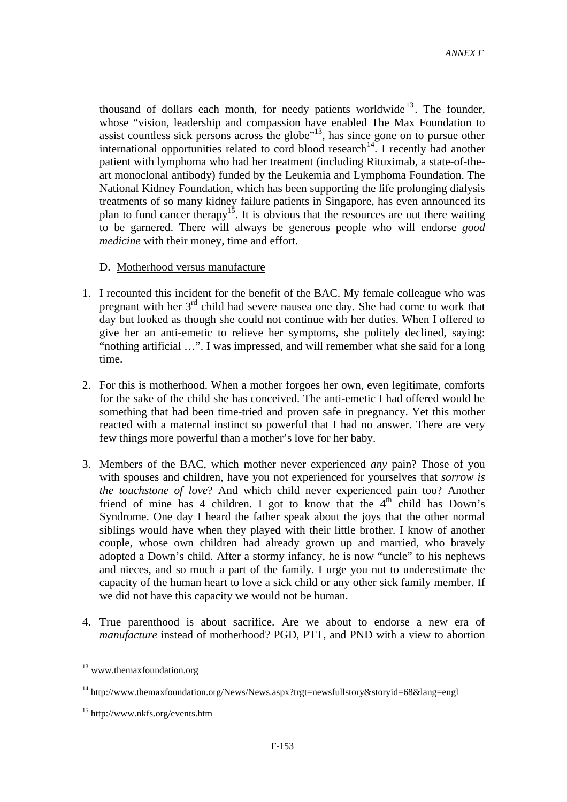thousand of dollars each month, for needy patients worldwide<sup>13</sup>. The founder, whose "vision, leadership and compassion have enabled The Max Foundation to assist countless sick persons across the globe"<sup>13</sup>, has since gone on to pursue other international opportunities related to cord blood research<sup>14</sup>. I recently had another patient with lymphoma who had her treatment (including Rituximab, a state-of-theart monoclonal antibody) funded by the Leukemia and Lymphoma Foundation. The National Kidney Foundation, which has been supporting the life prolonging dialysis treatments of so many kidney failure patients in Singapore, has even announced its plan to fund cancer therapy<sup>15</sup>. It is obvious that the resources are out there waiting to be garnered. There will always be generous people who will endorse *good medicine* with their money, time and effort.

## D. Motherhood versus manufacture

- 1. I recounted this incident for the benefit of the BAC. My female colleague who was pregnant with her  $3<sup>rd</sup>$  child had severe nausea one day. She had come to work that day but looked as though she could not continue with her duties. When I offered to give her an anti-emetic to relieve her symptoms, she politely declined, saying: "nothing artificial …". I was impressed, and will remember what she said for a long time.
- 2. For this is motherhood. When a mother forgoes her own, even legitimate, comforts for the sake of the child she has conceived. The anti-emetic I had offered would be something that had been time-tried and proven safe in pregnancy. Yet this mother reacted with a maternal instinct so powerful that I had no answer. There are very few things more powerful than a mother's love for her baby.
- 3. Members of the BAC, which mother never experienced *any* pain? Those of you with spouses and children, have you not experienced for yourselves that *sorrow is the touchstone of love*? And which child never experienced pain too? Another friend of mine has 4 children. I got to know that the  $4<sup>th</sup>$  child has Down's Syndrome. One day I heard the father speak about the joys that the other normal siblings would have when they played with their little brother. I know of another couple, whose own children had already grown up and married, who bravely adopted a Down's child. After a stormy infancy, he is now "uncle" to his nephews and nieces, and so much a part of the family. I urge you not to underestimate the capacity of the human heart to love a sick child or any other sick family member. If we did not have this capacity we would not be human.
- 4. True parenthood is about sacrifice. Are we about to endorse a new era of *manufacture* instead of motherhood? PGD, PTT, and PND with a view to abortion

<sup>&</sup>lt;sup>13</sup> www.themaxfoundation.org

<sup>14</sup> http://www.themaxfoundation.org/News/News.aspx?trgt=newsfullstory&storyid=68&lang=engl

<sup>15</sup> http://www.nkfs.org/events.htm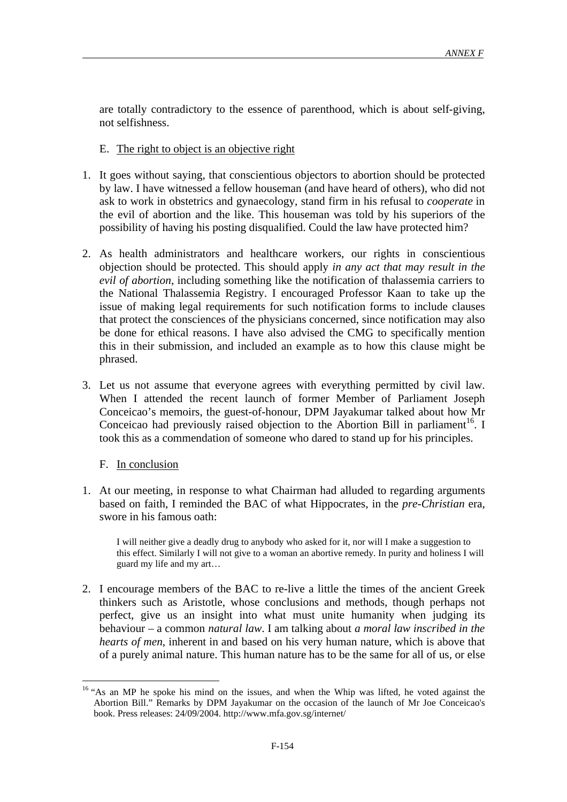are totally contradictory to the essence of parenthood, which is about self-giving, not selfishness.

- E. The right to object is an objective right
- 1. It goes without saying, that conscientious objectors to abortion should be protected by law. I have witnessed a fellow houseman (and have heard of others), who did not ask to work in obstetrics and gynaecology, stand firm in his refusal to *cooperate* in the evil of abortion and the like. This houseman was told by his superiors of the possibility of having his posting disqualified. Could the law have protected him?
- 2. As health administrators and healthcare workers, our rights in conscientious objection should be protected. This should apply *in any act that may result in the evil of abortion*, including something like the notification of thalassemia carriers to the National Thalassemia Registry. I encouraged Professor Kaan to take up the issue of making legal requirements for such notification forms to include clauses that protect the consciences of the physicians concerned, since notification may also be done for ethical reasons. I have also advised the CMG to specifically mention this in their submission, and included an example as to how this clause might be phrased.
- 3. Let us not assume that everyone agrees with everything permitted by civil law. When I attended the recent launch of former Member of Parliament Joseph Conceicao's memoirs, the guest-of-honour, DPM Jayakumar talked about how Mr Conceicao had previously raised objection to the Abortion Bill in parliament<sup>16</sup>. I took this as a commendation of someone who dared to stand up for his principles.

### F. In conclusion

 $\overline{a}$ 

1. At our meeting, in response to what Chairman had alluded to regarding arguments based on faith, I reminded the BAC of what Hippocrates, in the *pre-Christian* era, swore in his famous oath:

I will neither give a deadly drug to anybody who asked for it, nor will I make a suggestion to this effect. Similarly I will not give to a woman an abortive remedy. In purity and holiness I will guard my life and my art…

2. I encourage members of the BAC to re-live a little the times of the ancient Greek thinkers such as Aristotle, whose conclusions and methods, though perhaps not perfect, give us an insight into what must unite humanity when judging its behaviour – a common *natural law*. I am talking about *a moral law inscribed in the hearts of men*, inherent in and based on his very human nature, which is above that of a purely animal nature. This human nature has to be the same for all of us, or else

<sup>&</sup>lt;sup>16</sup> "As an MP he spoke his mind on the issues, and when the Whip was lifted, he voted against the Abortion Bill." Remarks by DPM Jayakumar on the occasion of the launch of Mr Joe Conceicao's book. Press releases: 24/09/2004. http://www.mfa.gov.sg/internet/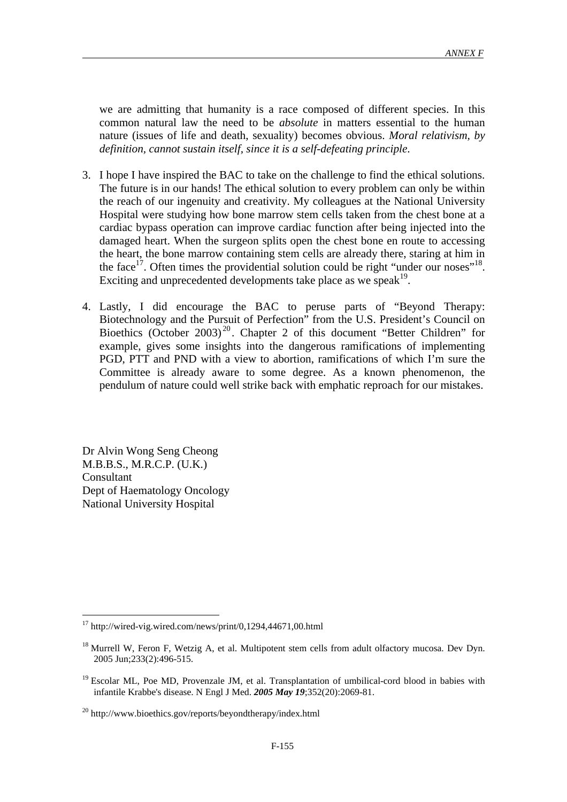we are admitting that humanity is a race composed of different species. In this common natural law the need to be *absolute* in matters essential to the human nature (issues of life and death, sexuality) becomes obvious. *Moral relativism, by definition, cannot sustain itself, since it is a self-defeating principle*.

- 3. I hope I have inspired the BAC to take on the challenge to find the ethical solutions. The future is in our hands! The ethical solution to every problem can only be within the reach of our ingenuity and creativity. My colleagues at the National University Hospital were studying how bone marrow stem cells taken from the chest bone at a cardiac bypass operation can improve cardiac function after being injected into the damaged heart. When the surgeon splits open the chest bone en route to accessing the heart, the bone marrow containing stem cells are already there, staring at him in the face<sup>17</sup>. Often times the providential solution could be right "under our noses"<sup>18</sup>. Exciting and unprecedented developments take place as we speak<sup>19</sup>.
- 4. Lastly, I did encourage the BAC to peruse parts of "Beyond Therapy: Biotechnology and the Pursuit of Perfection" from the U.S. President's Council on Bioethics (October 2003)<sup>20</sup>. Chapter 2 of this document "Better Children" for example, gives some insights into the dangerous ramifications of implementing PGD, PTT and PND with a view to abortion, ramifications of which I'm sure the Committee is already aware to some degree. As a known phenomenon, the pendulum of nature could well strike back with emphatic reproach for our mistakes.

Dr Alvin Wong Seng Cheong M.B.B.S., M.R.C.P. (U.K.) Consultant Dept of Haematology Oncology National University Hospital

 $17$  http://wired-vig.wired.com/news/print/0,1294,44671,00.html

 $18$  Murrell W, Feron F, Wetzig A, et al. Multipotent stem cells from adult olfactory mucosa. Dev Dyn. 2005 Jun;233(2):496-515.

<sup>&</sup>lt;sup>19</sup> Escolar ML, Poe MD, Provenzale JM, et al. Transplantation of umbilical-cord blood in babies with infantile Krabbe's disease. N Engl J Med. *2005 May 19*;352(20):2069-81.

<sup>20</sup> http://www.bioethics.gov/reports/beyondtherapy/index.html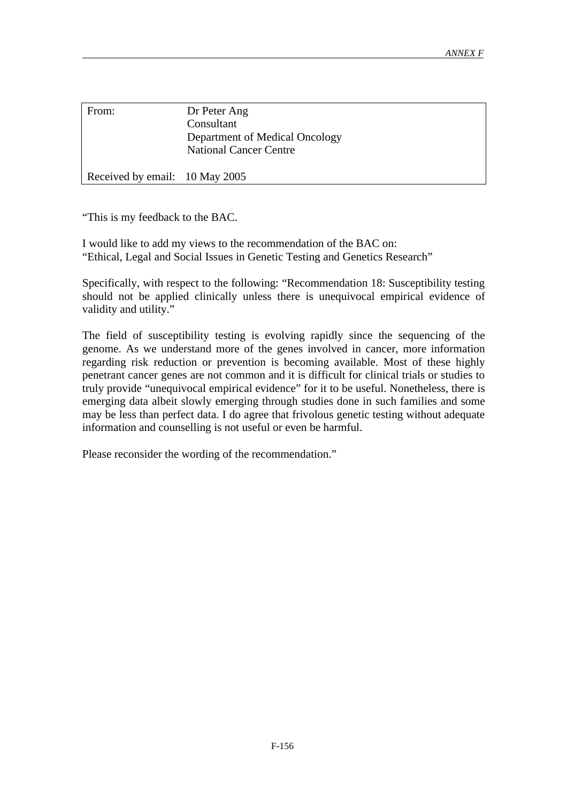| From:                          | Dr Peter Ang<br>Consultant<br>Department of Medical Oncology<br><b>National Cancer Centre</b> |
|--------------------------------|-----------------------------------------------------------------------------------------------|
| Received by email: 10 May 2005 |                                                                                               |

"This is my feedback to the BAC.

I would like to add my views to the recommendation of the BAC on: "Ethical, Legal and Social Issues in Genetic Testing and Genetics Research"

Specifically, with respect to the following: "Recommendation 18: Susceptibility testing should not be applied clinically unless there is unequivocal empirical evidence of validity and utility."

The field of susceptibility testing is evolving rapidly since the sequencing of the genome. As we understand more of the genes involved in cancer, more information regarding risk reduction or prevention is becoming available. Most of these highly penetrant cancer genes are not common and it is difficult for clinical trials or studies to truly provide "unequivocal empirical evidence" for it to be useful. Nonetheless, there is emerging data albeit slowly emerging through studies done in such families and some may be less than perfect data. I do agree that frivolous genetic testing without adequate information and counselling is not useful or even be harmful.

Please reconsider the wording of the recommendation."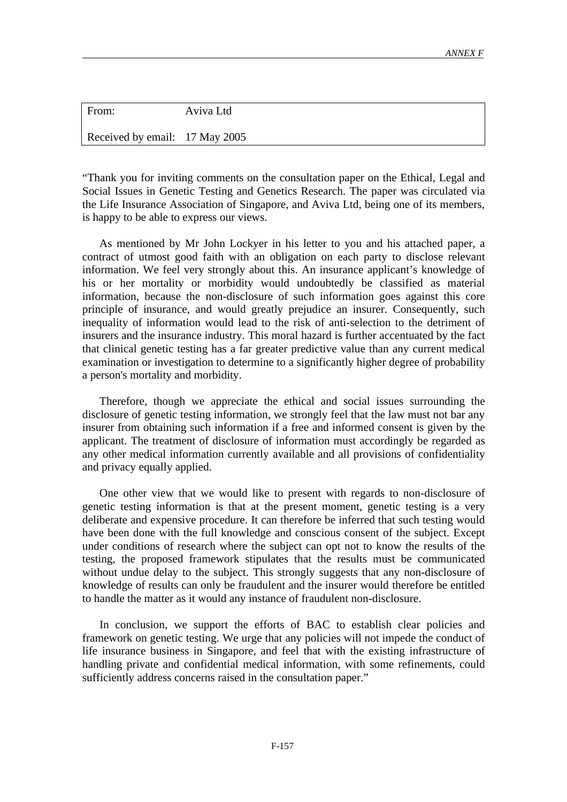| From:                          | Aviva Ltd |
|--------------------------------|-----------|
| Received by email: 17 May 2005 |           |

"Thank you for inviting comments on the consultation paper on the Ethical, Legal and Social Issues in Genetic Testing and Genetics Research. The paper was circulated via the Life Insurance Association of Singapore, and Aviva Ltd, being one of its members, is happy to be able to express our views.

 As mentioned by Mr John Lockyer in his letter to you and his attached paper, a contract of utmost good faith with an obligation on each party to disclose relevant information. We feel very strongly about this. An insurance applicant's knowledge of his or her mortality or morbidity would undoubtedly be classified as material information, because the non-disclosure of such information goes against this core principle of insurance, and would greatly prejudice an insurer. Consequently, such inequality of information would lead to the risk of anti-selection to the detriment of insurers and the insurance industry. This moral hazard is further accentuated by the fact that clinical genetic testing has a far greater predictive value than any current medical examination or investigation to determine to a significantly higher degree of probability a person's mortality and morbidity.

 Therefore, though we appreciate the ethical and social issues surrounding the disclosure of genetic testing information, we strongly feel that the law must not bar any insurer from obtaining such information if a free and informed consent is given by the applicant. The treatment of disclosure of information must accordingly be regarded as any other medical information currently available and all provisions of confidentiality and privacy equally applied.

 One other view that we would like to present with regards to non-disclosure of genetic testing information is that at the present moment, genetic testing is a very deliberate and expensive procedure. It can therefore be inferred that such testing would have been done with the full knowledge and conscious consent of the subject. Except under conditions of research where the subject can opt not to know the results of the testing, the proposed framework stipulates that the results must be communicated without undue delay to the subject. This strongly suggests that any non-disclosure of knowledge of results can only be fraudulent and the insurer would therefore be entitled to handle the matter as it would any instance of fraudulent non-disclosure.

 In conclusion, we support the efforts of BAC to establish clear policies and framework on genetic testing. We urge that any policies will not impede the conduct of life insurance business in Singapore, and feel that with the existing infrastructure of handling private and confidential medical information, with some refinements, could sufficiently address concerns raised in the consultation paper."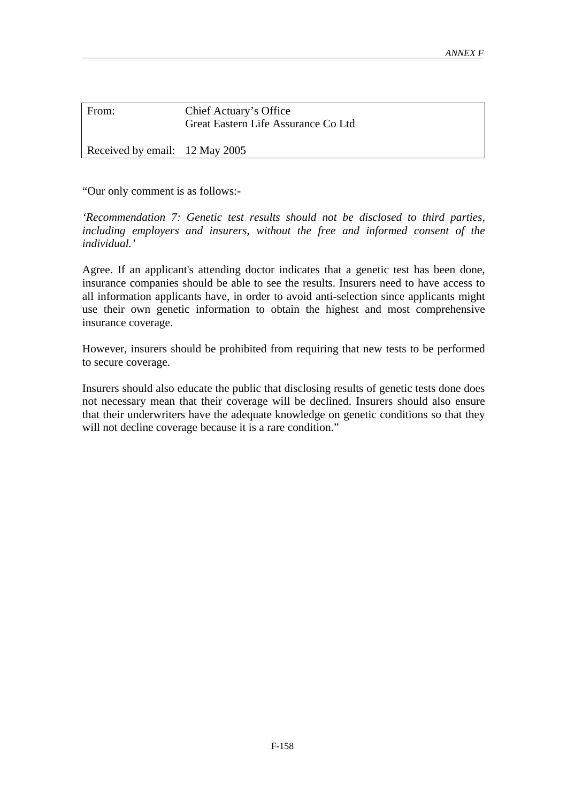| From:                          | Chief Actuary's Office<br>Great Eastern Life Assurance Co Ltd |
|--------------------------------|---------------------------------------------------------------|
| Received by email: 12 May 2005 |                                                               |

"Our only comment is as follows:-

*'Recommendation 7: Genetic test results should not be disclosed to third parties, including employers and insurers, without the free and informed consent of the individual.'*

Agree. If an applicant's attending doctor indicates that a genetic test has been done, insurance companies should be able to see the results. Insurers need to have access to all information applicants have, in order to avoid anti-selection since applicants might use their own genetic information to obtain the highest and most comprehensive insurance coverage.

However, insurers should be prohibited from requiring that new tests to be performed to secure coverage.

Insurers should also educate the public that disclosing results of genetic tests done does not necessary mean that their coverage will be declined. Insurers should also ensure that their underwriters have the adequate knowledge on genetic conditions so that they will not decline coverage because it is a rare condition."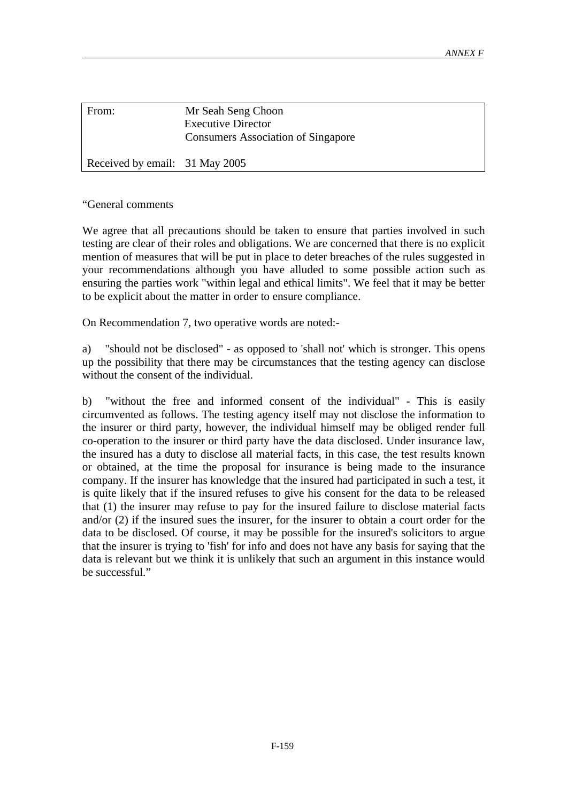| From:                          | Mr Seah Seng Choon<br><b>Executive Director</b><br><b>Consumers Association of Singapore</b> |
|--------------------------------|----------------------------------------------------------------------------------------------|
| Received by email: 31 May 2005 |                                                                                              |

"General comments

We agree that all precautions should be taken to ensure that parties involved in such testing are clear of their roles and obligations. We are concerned that there is no explicit mention of measures that will be put in place to deter breaches of the rules suggested in your recommendations although you have alluded to some possible action such as ensuring the parties work "within legal and ethical limits". We feel that it may be better to be explicit about the matter in order to ensure compliance.

On Recommendation 7, two operative words are noted:-

a) "should not be disclosed" - as opposed to 'shall not' which is stronger. This opens up the possibility that there may be circumstances that the testing agency can disclose without the consent of the individual.

b) "without the free and informed consent of the individual" - This is easily circumvented as follows. The testing agency itself may not disclose the information to the insurer or third party, however, the individual himself may be obliged render full co-operation to the insurer or third party have the data disclosed. Under insurance law, the insured has a duty to disclose all material facts, in this case, the test results known or obtained, at the time the proposal for insurance is being made to the insurance company. If the insurer has knowledge that the insured had participated in such a test, it is quite likely that if the insured refuses to give his consent for the data to be released that (1) the insurer may refuse to pay for the insured failure to disclose material facts and/or (2) if the insured sues the insurer, for the insurer to obtain a court order for the data to be disclosed. Of course, it may be possible for the insured's solicitors to argue that the insurer is trying to 'fish' for info and does not have any basis for saying that the data is relevant but we think it is unlikely that such an argument in this instance would be successful."